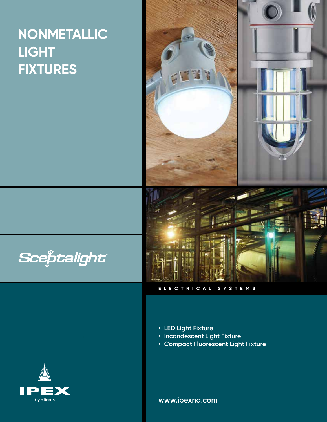# **NONMETALLIC LIGHT FIXTURES**









- **• LED Light Fixture**
- **• Incandescent Light Fixture**
- **• Compact Fluorescent Light Fixture**

**www.ipexna.com**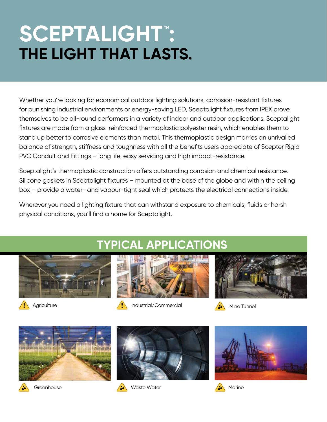# SCEPTALIGHT": **THE LIGHT THAT LASTS.**

Whether you're looking for economical outdoor lighting solutions, corrosion-resistant fixtures for punishing industrial environments or energy-saving LED, Sceptalight fixtures from IPEX prove themselves to be all-round performers in a variety of indoor and outdoor applications. Sceptalight fixtures are made from a glass-reinforced thermoplastic polyester resin, which enables them to stand up better to corrosive elements than metal. This thermoplastic design marries an unrivalled balance of strength, stiffness and toughness with all the benefits users appreciate of Scepter Rigid PVC Conduit and Fittings – long life, easy servicing and high impact-resistance.

Sceptalight's thermoplastic construction offers outstanding corrosion and chemical resistance. Silicone gaskets in Sceptalight fixtures – mounted at the base of the globe and within the ceiling box – provide a water- and vapour-tight seal which protects the electrical connections inside.

Wherever you need a lighting fixture that can withstand exposure to chemicals, fluids or harsh physical conditions, you'll find a home for Sceptalight.







 $\sqrt{N}$  Agriculture Mine Tunnel  $\sqrt{N}$  Industrial/Commercial  $\sqrt{N}$  Mine Tunnel







Greenhouse Marine And Marine Marine Marine Marine Marine Marine





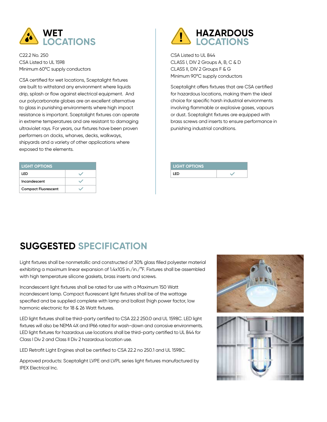

C22.2 No. 250 CSA Listed to UL 1598 Minimum 60ºC supply conductors

CSA certified for wet locations, Sceptalight fixtures are built to withstand any environment where liquids drip, splash or flow against electrical equipment. And our polycarbonate globes are an excellent alternative to glass in punishing environments where high impact resistance is important. Sceptalight fixtures can operate in extreme temperatures and are resistant to damaging ultraviolet rays. For years, our fixtures have been proven performers on docks, wharves, decks, walkways, shipyards and a variety of other applications where exposed to the elements.

| <b>LIGHT OPTIONS</b>       |  |  |
|----------------------------|--|--|
| LED                        |  |  |
| Incandescent               |  |  |
| <b>Compact Fluorescent</b> |  |  |



CSA Listed to UL 844 CLASS I, DIV 2 Groups A, B, C & D CLASS II, DIV 2 Groups F & G Minimum 90ºC supply conductors

Sceptalight offers fixtures that are CSA certified for hazardous locations, making them the ideal choice for specific harsh industrial environments involving flammable or explosive gases, vapours or dust. Sceptalight fixtures are equipped with brass screws and inserts to ensure performance in punishing industrial conditions.

| <b>LIGHT OPTIONS</b> |  |
|----------------------|--|
| LED                  |  |
|                      |  |

### **SUGGESTED SPECIFICATION**

Light fixtures shall be nonmetallic and constructed of 30% glass filled polyester material exhibiting a maximum linear expansion of 1.4x105 in./in./°F. Fixtures shall be assembled with high temperature silicone gaskets, brass inserts and screws.

Incandescent light fixtures shall be rated for use with a Maximum 150 Watt incandescent lamp. Compact fluorescent light fixtures shall be of the wattage specified and be supplied complete with lamp and ballast (high power factor, low harmonic electronic for 18 & 26 Watt fixtures.

LED light fixtures shall be third-party certified to CSA 22.2 250.0 and UL 1598C. LED light fixtures will also be NEMA 4X and IP66 rated for wash-down and corrosive environments. LED light fixtures for hazardous use locations shall be third-party certified to UL 844 for Class I Div 2 and Class II Div 2 hazardous location use.

LED Retrofit Light Engines shall be certified to CSA 22.2 no 250.1 and UL 1598C.

Approved products: Sceptalight LVPE and LVPL series light fixtures manufactured by IPEX Electrical Inc.



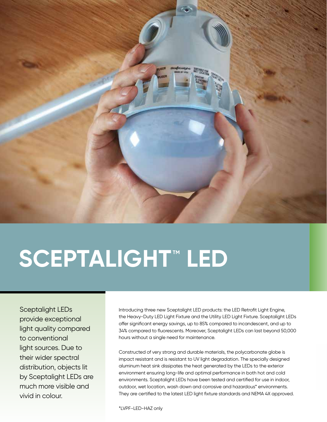

# **SCEPTALIGHT™ LED**

Sceptalight LEDs provide exceptional light quality compared to conventional light sources. Due to their wider spectral distribution, objects lit by Sceptalight LEDs are much more visible and vivid in colour.

Introducing three new Sceptalight LED products: the LED Retrofit Light Engine, the Heavy-Duty LED Light Fixture and the Utility LED Light Fixture. Sceptalight LEDs offer significant energy savings, up to 85% compared to incandescent, and up to 34% compared to fluorescents. Moreover, Sceptalight LEDs can last beyond 50,000 hours without a single need for maintenance.

Constructed of very strong and durable materials, the polycarbonate globe is impact resistant and is resistant to UV light degradation. The specially designed aluminum heat sink dissipates the heat generated by the LEDs to the exterior environment ensuring long-life and optimal performance in both hot and cold environments. Sceptalight LEDs have been tested and certified for use in indoor, outdoor, wet location, wash down and corrosive and hazardous\* environments. They are certified to the latest LED light fixture standards and NEMA 4X approved.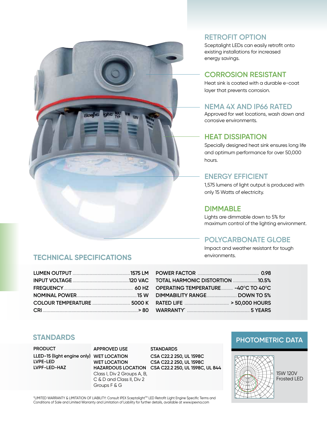

#### **RETROFIT OPTION**

Sceptalight LEDs can easily retrofit onto existing installations for increased energy savings.

#### **CORROSION RESISTANT**

Heat sink is coated with a durable e-coat layer that prevents corrosion.

#### **NEMA 4X AND IP66 RATED**

Approved for wet locations, wash down and corrosive environments.

#### **HEAT DISSIPATION**

Specially designed heat sink ensures long life and optimum performance for over 50,000 hours.

#### **ENERGY EFFICIENT**

1,575 lumens of light output is produced with only 15 Watts of electricity.

#### **DIMMABLE**

Lights are dimmable down to 5% for maximum control of the lighting environment.

#### **POLYCARBONATE GLOBE**

Impact and weather resistant for tough environments.

#### **TECHNICAL SPECIFICATIONS**

|                                     | 0.98           |
|-------------------------------------|----------------|
| TOTAL HARMONIC DISTORTION 10.5%     |                |
| OPERATING TEMPERATURE -40°C TO 40°C |                |
| DIMMABILITY RANGE DOWN TO 5%        |                |
|                                     | > 50,000 HOURS |
|                                     | <b>5 YEARS</b> |

**PRODUCT LLED-15 (light engine only) WET LOCATION LVPE-LED LVPF-LED-HAZ**

**APPROVED USE WET LOCATION** Class I, Div 2 Groups A, B, C & D and Class II, Div 2 Groups F & G

**HAZARDOUS LOCATION CSA C22.2 250, UL 1598C, UL 844 STANDARDS CSA C22.2 250, UL 1598C CSA C22.2 250, UL 1598C**

### **STANDARDS PHOTOMETRIC DATA**



\*LIMITED WARRANTY & LIMITATION OF LIABILITY: Consult IPEX SceptalightTM LED Retrofit Light Engine Specific Terms and Conditions of Sale and Limited Warranty and Limitation of Liability for further details, available at www.ipexna.com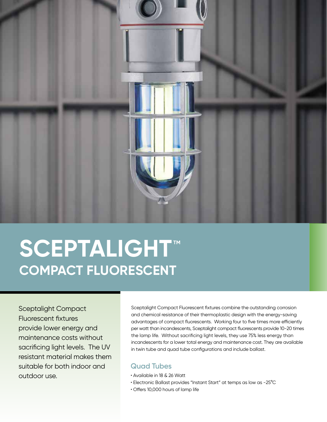

# **SCEPTALIGHT™ COMPACT FLUORESCENT**

Sceptalight Compact Fluorescent fixtures provide lower energy and maintenance costs without sacrificing light levels. The UV resistant material makes them suitable for both indoor and outdoor use.

Sceptalight Compact Fluorescent fixtures combine the outstanding corrosion and chemical resistance of their thermoplastic design with the energy-saving advantages of compact fluorescents. Working four to five times more efficiently per watt than incandescents, Sceptalight compact fluorescents provide 10-20 times the lamp life. Without sacrificing light levels, they use 75% less energy than incandescents for a lower total energy and maintenance cost. They are available in twin tube and quad tube configurations and include ballast.

#### **Quad Tubes**

- Available in 18 & 26 Watt
- Electronic Ballast provides "Instant Start" at temps as low as -25°C
- Offers 10,000 hours of lamp life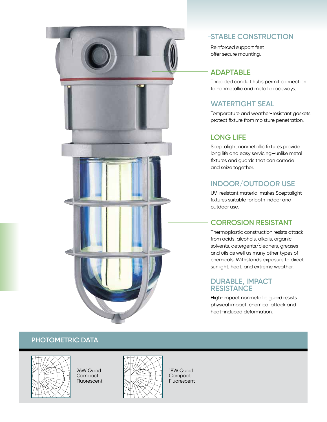

#### **-STABLE CONSTRUCTION**

Reinforced support feet offer secure mounting.

#### **ADAPTABLE**

Threaded conduit hubs permit connection to nonmetallic and metallic raceways.

#### **WATERTIGHT SEAL**

Temperature and weather-resistant gaskets protect fixture from moisture penetration.

#### **LONG LIFE**

Sceptalight nonmetallic fixtures provide long life and easy servicing—unlike metal fixtures and guards that can corrode and seize together.

#### **INDOOR/OUTDOOR USE**

UV-resistant material makes Sceptalight fixtures suitable for both indoor and outdoor use.

#### **CORROSION RESISTANT**

Thermoplastic construction resists attack from acids, alcohols, alkalis, organic solvents, detergents/cleaners, greases and oils as well as many other types of chemicals. Withstands exposure to direct sunlight, heat, and extreme weather.

#### **DURABLE, IMPACT RESISTANCE**

High-impact nonmetallic guard resists physical impact, chemical attack and heat-induced deformation.

#### **PHOTOMETRIC DATA**



26W Quad **Compact** Fluorescent



18W Quad **Compact Fluorescent**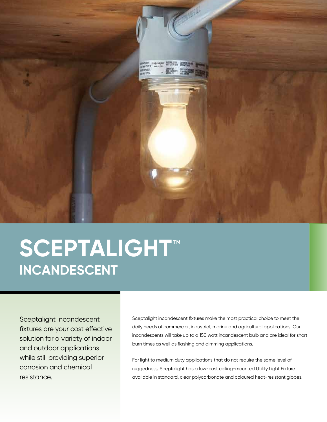

# **SCEPTALIGHT™ INCANDESCENT**

Sceptalight Incandescent fixtures are your cost effective solution for a variety of indoor and outdoor applications while still providing superior corrosion and chemical resistance.

Sceptalight incandescent fixtures make the most practical choice to meet the daily needs of commercial, industrial, marine and agricultural applications. Our incandescents will take up to a 150 watt incandescent bulb and are ideal for short burn times as well as flashing and dimming applications.

For light to medium duty applications that do not require the same level of ruggedness, Sceptalight has a low-cost ceiling-mounted Utility Light Fixture available in standard, clear polycarbonate and coloured heat-resistant globes.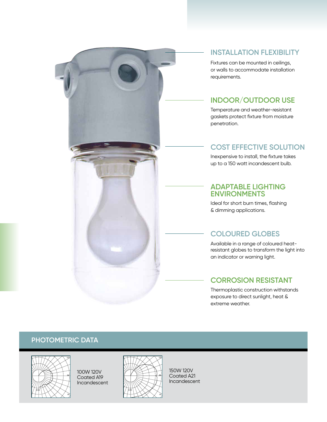

#### **INSTALLATION FLEXIBILITY**

Fixtures can be mounted in ceilings, or walls to accommodate installation requirements.

#### **INDOOR/OUTDOOR USE**

Temperature and weather-resistant gaskets protect fixture from moisture penetration.

#### **COST EFFECTIVE SOLUTION**

Inexpensive to install, the fixture takes up to a 150 watt incandescent bulb.

#### **ADAPTABLE LIGHTING ENVIRONMENTS**

Ideal for short burn times, flashing & dimming applications.

#### **COLOURED GLOBES**

Available in a range of coloured heatresistant globes to transform the light into an indicator or warning light.

#### **CORROSION RESISTANT**

Thermoplastic construction withstands exposure to direct sunlight, heat & extreme weather.

#### **PHOTOMETRIC DATA**



100W 120V Coated A19 Incandescent



150W 120V Coated A21 Incandescent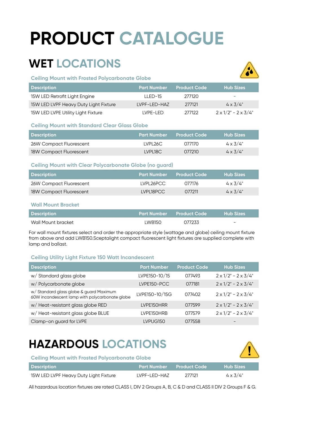# **PRODUCT CATALOGUE**

### **WET LOCATIONS**



**Ceiling Mount with Frosted Polycarbonate Globe**

| <b>Description</b>                    | I Part Number " | <b>Product Code</b> | <b>Hub Sizes</b>                    |
|---------------------------------------|-----------------|---------------------|-------------------------------------|
| 15W LED Retrofit Light Engine         | $11FD-15$       | 277120              | -                                   |
| 15W LED LVPF Heavy Duty Light Fixture | I VPF-I FD-HAZ  | 277121              | $4 \times 3/4$ "                    |
| 15W LED LVPE Utility Light Fixture    | LVPE-LED        | 277122              | $2 \times 1/2$ " – $2 \times 3/4$ " |

#### **Ceiling Mount with Standard Clear Glass Globe**

| <b>Description</b>      |          | <b>Part Number Product Code</b> | <b>Hub Sizes</b> |
|-------------------------|----------|---------------------------------|------------------|
| 26W Compact Fluorescent | TVPL26C  | 077170                          | $4 \times 3/4"$  |
| 18W Compact Fluorescent | IVPI 18C | 077210                          | $4 \times 3/4"$  |

#### **Ceiling Mount with Clear Polycarbonate Globe (no guard)**

| <b>Description</b>      |           | <b>Part Number Product Code</b> | <b>Hub Sizes</b> |
|-------------------------|-----------|---------------------------------|------------------|
| 26W Compact Fluorescent | TVPL26PCC | 077176                          | $4 \times 3/4"$  |
| 18W Compact Fluorescent | LVPL18PCC | 077211                          | $4 \times 3/4"$  |

#### **Wall Mount Bracket**

| <b>Description</b> |        |        | <b>Hub Sizes</b> |
|--------------------|--------|--------|------------------|
| Wall Mount bracket | LWB150 | 077233 | -                |

For wall mount fixtures select and order the appropriate style (wattage and globe) ceiling mount fixture from above and add LWB150.Sceptalight compact fluorescent light fixtures are supplied complete with lamp and ballast.

#### **Ceiling Utility Light Fixture 150 Watt Incandescent**

| <b>Description</b>                                                                       | <b>Part Number</b> | <b>Product Code</b> | <b>Hub Sizes</b>                    |
|------------------------------------------------------------------------------------------|--------------------|---------------------|-------------------------------------|
| w/Standard glass globe                                                                   | LVPE150-10/15      | 077493              | $2 \times 1/2" - 2 \times 3/4"$     |
| w/Polycarbonate globe                                                                    | LVPE150-PCC        | 077181              | $2 \times 1/2$ " - $2 \times 3/4$ " |
| w/Standard glass globe & guard Maximum<br>60W incandescent lamp with polycarbonate globe | LVPE150-10/15G     | 077402              | $2 \times 1/2" - 2 \times 3/4"$     |
| w/Heat-resistant glass globe RED                                                         | LVPE150HRR         | 077599              | $2 \times 1/2$ " - $2 \times 3/4$ " |
| w/Heat-resistant glass globe BLUE                                                        | LVPE150HRB         | 077579              | $2 \times 1/2" - 2 \times 3/4"$     |
| Clamp-on guard for LVPE                                                                  | LVPUG150           | 077558              |                                     |

### **HAZARDOUS LOCATIONS**



**Ceiling Mount with Frosted Polycarbonate Globe**

| <b>Description</b>                    | <b>Part Number Product Code</b> |        | Hub Sizes       |
|---------------------------------------|---------------------------------|--------|-----------------|
| 15W LED LVPF Heavy Duty Light Fixture | LVPF-LED-HAZ                    | 277121 | $4 \times 3/4"$ |

All hazardous location fixtures are rated CLASS I, DIV 2 Groups A, B, C & D and CLASS II DIV 2 Groups F & G.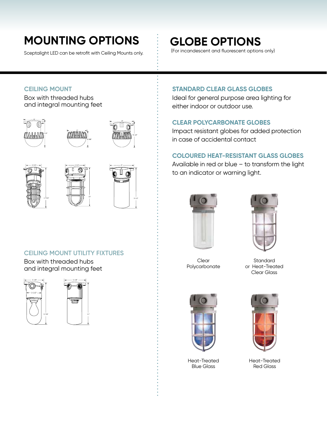## **MOUNTING OPTIONS**

Sceptalight LED can be retrofit with Ceiling Mounts only.

### **GLOBE OPTIONS**

(For incandescent and fluorescent options only)

#### **CEILING MOUNT**

Box with threaded hubs and integral mounting feet







| 4 3/4" |         |
|--------|---------|
|        |         |
|        |         |
|        | 11'3/4' |
|        | c       |





#### **CEILING MOUNT UTILITY FIXTURES**

Box with threaded hubs and integral mounting feet





#### **STANDARD CLEAR GLASS GLOBES**

Ideal for general purpose area lighting for either indoor or outdoor use.

#### **CLEAR POLYCARBONATE GLOBES**

Impact resistant globes for added protection in case of accidental contact

**COLOURED HEAT-RESISTANT GLASS GLOBES**

Available in red or blue – to transform the light to an indicator or warning light.



Clear Polycarbonate



Standard or Heat-Treated Clear Glass



Heat-Treated Blue Glass



Heat-Treated Red Glass